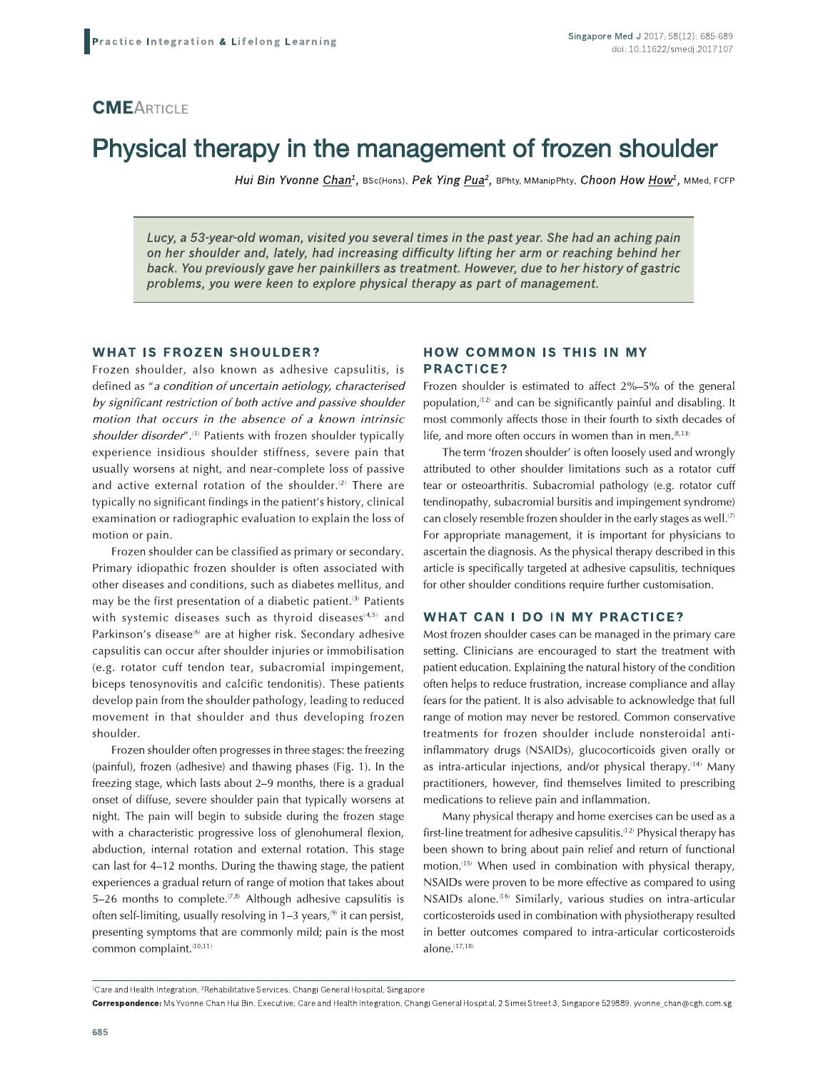# Practice Integra **CME**ARTICLE

## Physical therapy in the management of frozen shoulder **Oulder**<br>  $\frac{How^1, MMed, FCFP}{Again}$ <br> *s pain*<br> *d her*

HUI BIN YVONNE <u>CNaN</u><sup>2</sup>, BSc(Hons), PEK YING <u>PUA</u><sup>2</sup>, BPhty, MManipPhty, CNOON HOW HO

apy in the management of frozen shall women chan<sup>1</sup>, BSc(Hons), Pek Ying <u>Pua</u><sup>2</sup>, BPhty, MManipPhty, Choon Hov<br>Id woman, visited you several times in the past year. She had an achief<br>Id woman, visited you several times in Lucy, a 53-year-old woman, visited you several times in the past year. She had an aching pain on her shoulder and, lately, had increasing difficulty lifting her arm or reaching behind her back. You previously gave her painklilers as treatment. However, due to her history of gastric problems, you were keen to explore physical therapy as part of management.

#### WHAI IS FROZEN SHOULDER?

Frozen shoulder, also known as adhesive capsulitis, is defined as "*a condition of uncertain aetiology, characterised* by significant restriction of both active and passive shoulder motion that occurs in the absence of a known intrinsic *shoulder disorder"*.<sup>(1)</sup> Patients with frozen shoulder typically experience insidious shoulder stiffness, severe pain that usually worsens at night, and near-complete loss of passive and active external rotation of the shoulder. ${}^{(2)}$  There are typically no significant findings in the patient's history, clinical examination or radiographic evaluation to explain the loss of motion or pain.

Frozen shoulder can be classified as primary or secondary. Primary idiopathic frozen shoulder is often associated with other diseases and conditions, such as diabetes mellitus, and may be the first presentation of a diabetic patient.<sup>(3)</sup> Patients with systemic diseases such as thyroid diseases $^{\scriptscriptstyle{(4,5)}}$  and Parkinson's disease® are at higher risk. Secondary adhesive  $\rho$  capsulitis can occur after shoulder injuries or immobilisation (e.g. rotator cuff tendon tear, subacromial impingement, biceps tenosynovitis and calcific tendonitis). These patients develop pain from the shoulder pathology, leading to reduced movement in that shoulder and thus developing frozen shoulder.

Frozen shoulder often progresses in three stages: the freezing  $\{$ painful), frozen  $\{$ adhesive) and thawing phases  $\{$ Fig. T). In the freezing stage, which lasts about 2–9 months, there is a gradual onset of diffuse, severe shoulder pain that typically worsens at night. The pain will begin to subside during the frozen stage with a characteristic progressive loss of glenohumeral flexion, abduction, internal rotation and external rotation. This stage can last for 4–12 months. During the thawing stage, the patient  $\hspace{0.1mm}$ experiences a gradual return of range of motion that takes about 5–26 months to complete.<sup>(%)</sup> Although adhesive capsulitis is often self-limiting, usually resolving in 1–3 years,® it can persist, presenting symptoms that are commonly mild; pain is the most common complaint.<sup>(10,11)</sup>

#### HOW COMMON IS THIS IN MY PRACTICE?

Frozen shoulder is estimated to affect  $2\%$ –5% of the general population,"2) and can be significantly painful and disabling. It most commonly affects those in their fourth to sixth decades of life, and more often occurs in women than in men.  $^{(8,13)}$ 

The term 'frozen shoulder' is often loosely used and wrongly attributed to other shoulder limitations such as a rotator cuff tear or osteoarthritis. Subacromial pathology (e.g. rotator cuff tendinopathy, subacromial bursitis and impingement syndrome) can closely resemble trozen shoulder in the early stages as well. $^\mathrm{(2)}$ For appropriate management, it is important for physicians to ascertain the diagnosis. As the physical therapy described in this article is specifically targeted at adhesive capsulitis, techniques for other shoulder conditions require further customisation.

#### WHAT CAN I DO IN MY PRACTICE?

Most frozen shoulder cases can be managed in the primary care setting. Clinicians are encouraged to start the treatment with patient education. Explaining the natural history of the condition often helps to reduce frustration, increase compliance and allay fears for the patient. It is also advisable to acknowledge that full range of motion may never be restored. Common conservative  $t$ reatments for frozen shoulder include nonsteroidal antiinflammatory drugs (NSAIDs), glucocorticoids given orally or as intra-articular injections, and/or physical therapy.(14) Many practitioners, however, find themselves limited to prescribing medications to refleve pain and inflammation.

Many physical therapy and home exercises can be used as a tirst-line treatment for adhesive capsulitis.''<sup>2)</sup> Physical therapy has been shown to bring about pain relief and return of functional motion.<sup>(15)</sup> When used in combination with physical therapy, NSAIDs were proven to be more effective as compared to using NSAIDs alone.<sup>(16)</sup> Similarly, various studies on intra-articular corticosteroids used in combination with physiotherapy resulted in better outcomes compared to intra-articular corticosteroids alone.<sup>(17,18)</sup>

<sup>&</sup>quot;Care and Health Integration, 'Rehabilitative Services, Changi General Hospital, Singapore

 $\bf$  Correspondence: Ms Yvonne Chan Hui Bin, Executive, Care and Health Integration, Changl General Hospital, 2 Simel Street 3, Singapore 529889. Wonne\_chan@cgn.com.sg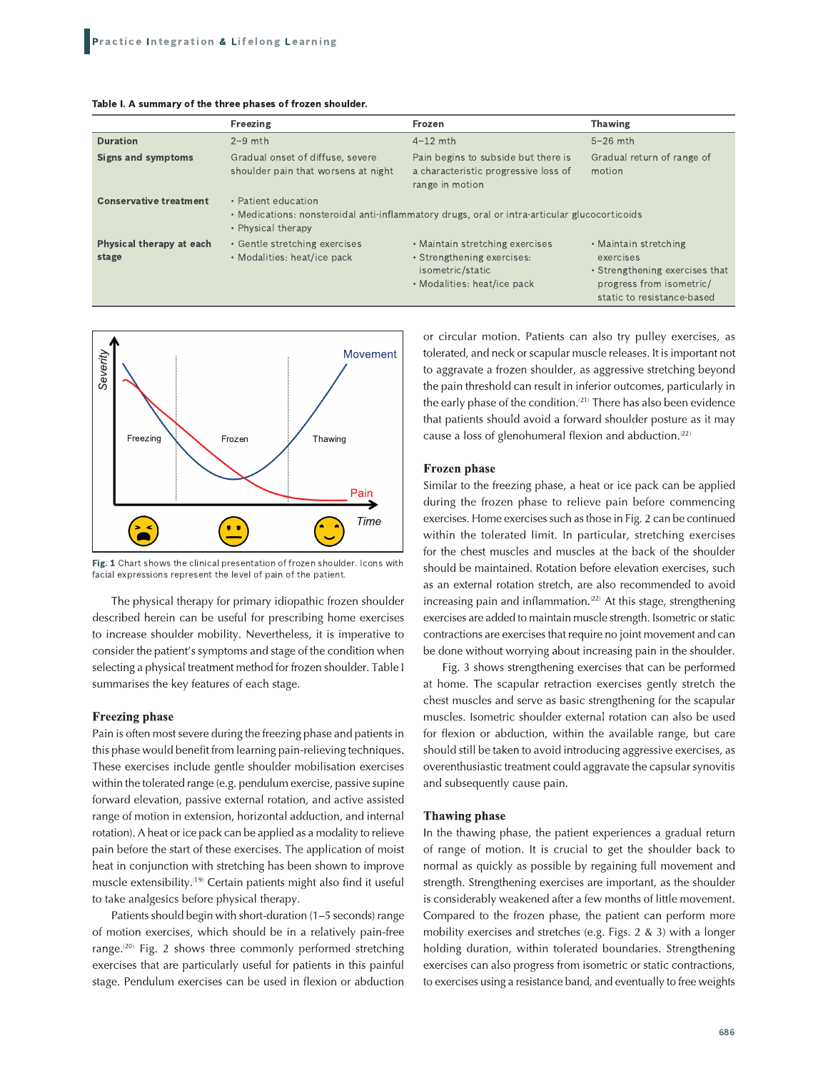#### Table I. A summary of the three phases of frozen shoulder.

|                                          | Freezing                                                                | Frozen                                                                                                           | <b>Thawing</b>                                                                                                                 |  |
|------------------------------------------|-------------------------------------------------------------------------|------------------------------------------------------------------------------------------------------------------|--------------------------------------------------------------------------------------------------------------------------------|--|
| <b>Duration</b>                          | $2-9$ mth                                                               | $4-12$ mth                                                                                                       | $5-26$ mth                                                                                                                     |  |
| <b>Signs and symptoms</b>                | Gradual onset of diffuse, severe<br>shoulder pain that worsens at night | Pain begins to subside but there is<br>a characteristic progressive loss of<br>range in motion                   | Gradual return of range of<br>motion                                                                                           |  |
| <b>Conservative treatment</b>            | • Patient education<br>• Physical therapy                               | • Medications: nonsteroidal anti-inflammatory drugs, oral or intra-articular glucocorticoids                     |                                                                                                                                |  |
| <b>Physical therapy at each</b><br>stage | • Gentle stretching exercises<br>• Modalities: heat/ice pack            | • Maintain stretching exercises<br>• Strengthening exercises:<br>isometric/static<br>• Modalities: heat/ice pack | • Maintain stretching<br>exercises<br>• Strengthening exercises that<br>progress from isometric/<br>static to resistance-based |  |



Fig. 1 Chart shows the clinical presentation of frozen shoulder. Icons with facial expressions represent the level of pain of the patient.

The physical therapy for primary idiopathic frozen shoulder described herein can be useful for prescribing home exercises to increase shoulder mobility. Nevertheless, it is imperative to consider the patient's symptoms and stage of the condition when selecting a physical treatment method for frozen shoulder. Table I summarises the key features of each stage.

#### **Freezing phase**

Pain is often most severe during the freezing phase and patients in this phase would benefit from learning pain-relieving techniques. These exercises include gentle shoulder mobilisation exercises within the tolerated range (e.g. pendulum exercise, passive supine forward elevation, passive external rotation, and active assisted range of motion in extension, horizontal adduction, and internal rotation). A heat or ice pack can be applied as a modality to relieve pain before the start of these exercises. The application of moist heat in conjunction with stretching has been shown to improve muscle extensibility.<sup>(19)</sup> Certain patients might also find it useful to take analgesics before physical therapy.

Patients should begin with short-duration (1-5 seconds) range of motion exercises, which should be in a relatively pain-free range.<sup>(20)</sup> Fig. 2 shows three commonly performed stretching exercises that are particularly useful for patients in this painful stage. Pendulum exercises can be used in flexion or abduction

or circular motion. Patients can also try pulley exercises, as tolerated, and neck or scapular muscle releases. It is important not to aggravate a frozen shoulder, as aggressive stretching beyond the pain threshold can result in inferior outcomes, particularly in the early phase of the condition.<sup>(21)</sup> There has also been evidence that patients should avoid a forward shoulder posture as it may cause a loss of glenohumeral flexion and abduction.<sup>(22)</sup>

#### Frozen phase

Similar to the freezing phase, a heat or ice pack can be applied during the frozen phase to relieve pain before commencing exercises. Home exercises such as those in Fig. 2 can be continued within the tolerated limit. In particular, stretching exercises for the chest muscles and muscles at the back of the shoulder should be maintained. Rotation before elevation exercises, such as an external rotation stretch, are also recommended to avoid increasing pain and inflammation.<sup>(22)</sup> At this stage, strengthening exercises are added to maintain muscle strength. Isometric or static contractions are exercises that require no joint movement and can be done without worrying about increasing pain in the shoulder.

Fig. 3 shows strengthening exercises that can be performed at home. The scapular retraction exercises gently stretch the chest muscles and serve as basic strengthening for the scapular muscles. Isometric shoulder external rotation can also be used for flexion or abduction, within the available range, but care should still be taken to avoid introducing aggressive exercises, as overenthusiastic treatment could aggravate the capsular synovitis and subsequently cause pain.

#### **Thawing phase**

In the thawing phase, the patient experiences a gradual return of range of motion. It is crucial to get the shoulder back to normal as quickly as possible by regaining full movement and strength. Strengthening exercises are important, as the shoulder is considerably weakened after a few months of little movement. Compared to the frozen phase, the patient can perform more mobility exercises and stretches (e.g. Figs. 2 & 3) with a longer holding duration, within tolerated boundaries. Strengthening exercises can also progress from isometric or static contractions, to exercises using a resistance band, and eventually to free weights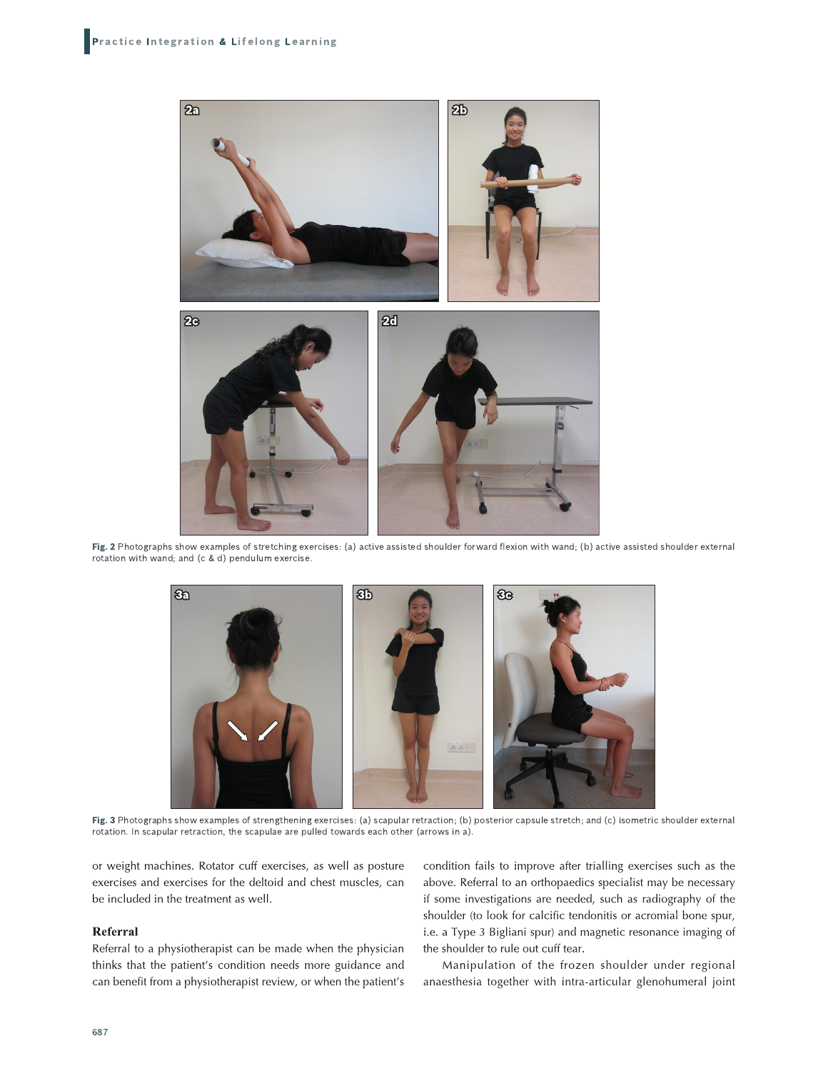

Fig. 2 Photographs show examples of stretching exercises: (a) active assisted shoulder forward flexion with wand; (b) active assisted shoulder external rotation with wand; and (c & d) pendulum exercise.



Fig. 3 Photographs show examples of strengthening exercises: (a) scapular retraction; (b) posterior capsule stretch; and (c) isometric shoulder external rotation. In scapular retraction, the scapulae are pulled towards each other (arrows in a).

or weight machines. Rotator cuff exercises, as well as posture exercises and exercises for the deltoid and chest muscles, can be included in the treatment as well.

#### Referral

Referral to a physiotherapist can be made when the physician thinks that the patient's condition needs more guidance and can benefit from a physiotherapist review, or when the patient's condition fails to improve after trialling exercises such as the above. Referral to an orthopaedics specialist may be necessary if some investigations are needed, such as radiography of the shoulder (to look for calcific tendonitis or acromial bone spur, i.e. a Type 3 Bigliani spur) and magnetic resonance imaging of the shoulder to rule out cuff tear.

Manipulation of the frozen shoulder under regional anaesthesia together with intra-articular glenohumeral joint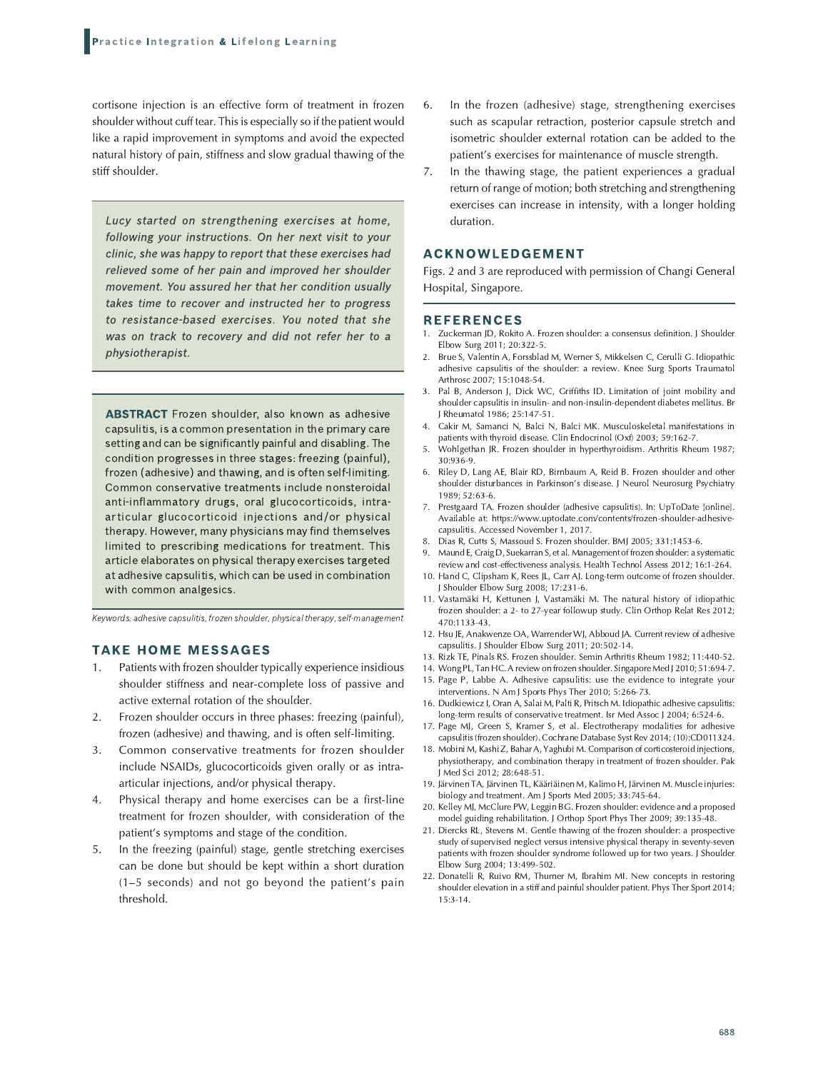cortisone injection is an effective form of treatment in frozen shoulder without cuff tear. This is especially so if the patient would like a rapid improvement in symptoms and avoid the expected natural history of pain, stiffness and slow gradual thawing of the stiff shoulder.

Lucy started on strengthening exercises at home, following your instructions. On her next visit to your clinic, she was happy to report that these exercises had relieved some of her pain and improved her shoulder movement. You assured her that her condition usually takes time to recover and instructed her to progress to resistance-based exercises. You noted that she was on track to recovery and did not refer her to a physiotherapist.

**ABSTRACT** Frozen shoulder, also known as adhesive capsulitis, is a common presentation in the primary care setting and can be significantly painful and disabling. The condition progresses in three stages: freezing (painful), frozen (adhesive) and thawing, and is often self-limiting. Common conservative treatments include nonsteroidal anti-inflammatory drugs, oral glucocorticoids, intraarticular glucocorticoid injections and/or physical therapy. However, many physicians may find themselves limited to prescribing medications for treatment. This article elaborates on physical therapy exercises targeted at adhesive capsulitis, which can be used in combination with common analgesics.

Keywords: adhesive capsulitis, frozen shoulder, physical therapy, self-management

#### **TAKE HOME MESSAGES**

- Patients with frozen shoulder typically experience insidious  $1<sub>1</sub>$ shoulder stiffness and near-complete loss of passive and active external rotation of the shoulder.
- $2.$ Frozen shoulder occurs in three phases: freezing (painful), frozen (adhesive) and thawing, and is often self-limiting.
- Common conservative treatments for frozen shoulder  $3.$ include NSAIDs, glucocorticoids given orally or as intraarticular injections, and/or physical therapy.
- 4. Physical therapy and home exercises can be a first-line treatment for frozen shoulder, with consideration of the patient's symptoms and stage of the condition.
- In the freezing (painful) stage, gentle stretching exercises 5. can be done but should be kept within a short duration (1-5 seconds) and not go beyond the patient's pain threshold.
- 6. In the frozen (adhesive) stage, strengthening exercises such as scapular retraction, posterior capsule stretch and isometric shoulder external rotation can be added to the patient's exercises for maintenance of muscle strength.
- 7. In the thawing stage, the patient experiences a gradual return of range of motion; both stretching and strengthening exercises can increase in intensity, with a longer holding duration.

#### **ACKNOWLEDGEMENT**

Figs. 2 and 3 are reproduced with permission of Changi General Hospital, Singapore.

#### **REFERENCES**

- Zuckerman JD, Rokito A. Frozen shoulder: a consensus definition. J Shoulder Elbow Surg 2011; 20:322-5.
- Brue S, Valentin A, Forssblad M, Werner S, Mikkelsen C, Cerulli G. Idiopathic adhesive capsulitis of the shoulder: a review. Knee Surg Sports Traumatol Arthrosc 2007; 15:1048-54.
- 3. Pal B, Anderson J, Dick WC, Griffiths ID. Limitation of joint mobility and shoulder capsulitis in insulin- and non-insulin-dependent diabetes mellitus. Br I Rheumatol 1986: 25:147-51.
- Cakir M. Samanci N. Balci N. Balci MK. Musculoskeletal manifestations in patients with thyroid disease. Clin Endocrinol (Oxf) 2003; 59:162-7.
- Wohlgethan JR. Frozen shoulder in hyperthyroidism. Arthritis Rheum 1987;  $30:936-9$
- Riley D, Lang AE, Blair RD, Birnbaum A, Reid B. Frozen shoulder and other 6. shoulder disturbances in Parkinson's disease. J Neurol Neurosurg Psychiatry 1989; 52:63-6.
- 7. Prestgaard TA. Frozen shoulder (adhesive capsulitis). In: UpToDate [online]. Available at: https://www.uptodate.com/contents/frozen-shoulder-adhesivecapsulitis. Accessed November 1, 2017.
- Dias R, Cutts S, Massoud S. Frozen shoulder. BMJ 2005; 331:1453-6. 8.
- Maund E, Craig D, Suekarran S, et al. Management of frozen shoulder: a systematic 9. review and cost-effectiveness analysis. Health Technol Assess 2012: 16:1-264.
- 10. Hand C, Clipsham K, Rees JL, Carr AJ. Long-term outcome of frozen shoulder. J Shoulder Elbow Surg 2008; 17:231-6.
- Vastamäki H, Kettunen J, Vastamäki M. The natural history of idiopathic  $11$ frozen shoulder: a 2- to 27-year followup study. Clin Orthop Relat Res 2012; 470:1133-43.
- 12. Hsu JE, Anakwenze OA, Warrender WJ, Abboud JA. Current review of adhesive capsulitis. J Shoulder Elbow Surg 2011; 20:502-14.
- 13. Rizk TE, Pinals RS. Frozen shoulder. Semin Arthritis Rheum 1982; 11:440-52.
- 14. Wong PL, Tan HC. A review on frozen shoulder. Singapore Med J 2010; 51:694-7.
- 15. Page P, Labbe A. Adhesive capsulitis: use the evidence to integrate your interventions. N Am J Sports Phys Ther 2010; 5:266-73.
- 16. Dudkiewicz I, Oran A, Salai M, Palti R, Pritsch M. Idiopathic adhesive capsulitis: long-term results of conservative treatment. Isr Med Assoc J 2004: 6:524-6.
- 17. Page MJ, Green S, Kramer S, et al. Electrotherapy modalities for adhesive capsulitis (frozen shoulder). Cochrane Database Syst Rev 2014; (10):CD011324.
- 18. Mobini M, Kashi Z, Bahar A, Yaghubi M. Comparison of corticosteroid injections, physiotherapy, and combination therapy in treatment of frozen shoulder. Pak Med Sci 2012; 28:648-51
- 19. Järvinen TA, Järvinen TL, Kääriäinen M, Kalimo H, Järvinen M. Muscle injuries: biology and treatment. Am J Sports Med 2005; 33:745-64.
- 20. Kelley MJ, McClure PW, Leggin BG. Frozen shoulder: evidence and a proposed model guiding rehabilitation. J Orthop Sport Phys Ther 2009; 39:135-48.
- 21. Diercks RL, Stevens M. Gentle thawing of the frozen shoulder: a prospective study of supervised neglect versus intensive physical therapy in seventy-seven patients with frozen shoulder syndrome followed up for two years. J Shoulder Elbow Surg 2004: 13:499-502.
- 22. Donatelli R, Ruivo RM, Thurner M, Ibrahim MI. New concepts in restoring shoulder elevation in a stiff and painful shoulder patient. Phys Ther Sport 2014;  $15:3 - 14.$